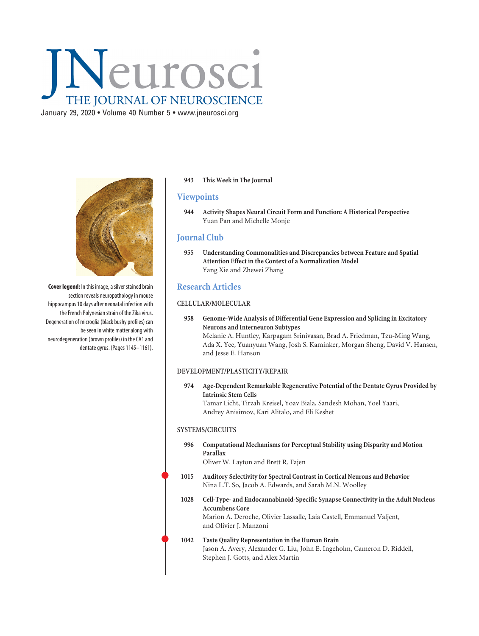# Neurosci THE JOURNAL OF NEUROSCIENCE

January 29, 2020 • Volume 40 Number 5 • www.jneurosci.org



**Cover legend:** In this image, a silver stained brain section reveals neuropathology in mouse hippocampus 10 days after neonatal infection with the French Polynesian strain of the Zika virus. Degeneration of microglia (black bushy profiles) can be seen in white matter along with neurodegeneration (brown profiles) in the CA1 and dentate gyrus. (Pages 1145–1161).

### **943 This Week in The Journal**

# **Viewpoints**

**944 Activity Shapes Neural Circuit Form and Function: A Historical Perspective** Yuan Pan and Michelle Monje

# **Journal Club**

**955 Understanding Commonalities and Discrepancies between Feature and Spatial Attention Effect in the Context of a Normalization Model** Yang Xie and Zhewei Zhang

# **Research Articles**

## **CELLULAR/MOLECULAR**

**958 Genome-Wide Analysis of Differential Gene Expression and Splicing in Excitatory Neurons and Interneuron Subtypes** Melanie A. Huntley, Karpagam Srinivasan, Brad A. Friedman, Tzu-Ming Wang, Ada X. Yee, Yuanyuan Wang, Josh S. Kaminker, Morgan Sheng, David V. Hansen, and Jesse E. Hanson

#### **DEVELOPMENT/PLASTICITY/REPAIR**

**974 Age-Dependent Remarkable Regenerative Potential of the Dentate Gyrus Provided by Intrinsic Stem Cells** Tamar Licht, Tirzah Kreisel, Yoav Biala, Sandesh Mohan, Yoel Yaari, Andrey Anisimov, Kari Alitalo, and Eli Keshet

#### **SYSTEMS/CIRCUITS**

 $\bullet$ 

 $\bullet$ 

**996 Computational Mechanisms for Perceptual Stability using Disparity and Motion Parallax**

Oliver W. Layton and Brett R. Fajen

- **1015 Auditory Selectivity for Spectral Contrast in Cortical Neurons and Behavior** Nina L.T. So, Jacob A. Edwards, and Sarah M.N. Woolley
- **1028 Cell-Type- and Endocannabinoid-Specific Synapse Connectivity in the Adult Nucleus Accumbens Core** Marion A. Deroche, Olivier Lassalle, Laia Castell, Emmanuel Valjent, and Olivier J. Manzoni

#### **1042 Taste Quality Representation in the Human Brain** Jason A. Avery, Alexander G. Liu, John E. Ingeholm, Cameron D. Riddell, Stephen J. Gotts, and Alex Martin